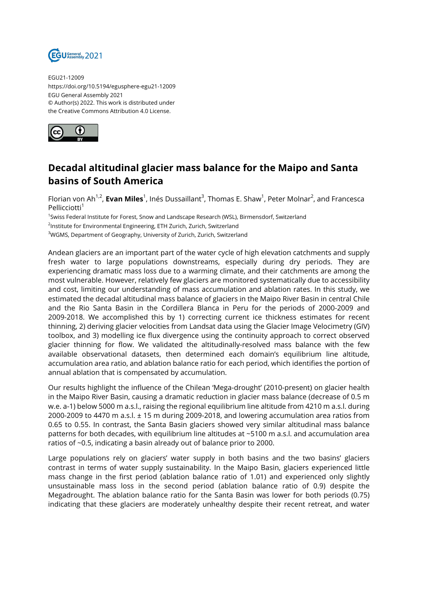

EGU21-12009 https://doi.org/10.5194/egusphere-egu21-12009 EGU General Assembly 2021 © Author(s) 2022. This work is distributed under the Creative Commons Attribution 4.0 License.



## **Decadal altitudinal glacier mass balance for the Maipo and Santa basins of South America**

Florian von Ah<sup>1,2</sup>, **Evan Miles**<sup>1</sup>, Inés Dussaillant<sup>3</sup>, Thomas E. Shaw<sup>1</sup>, Peter Molnar<sup>2</sup>, and Francesca Pellicciotti<sup>1</sup>

1 Swiss Federal Institute for Forest, Snow and Landscape Research (WSL), Birmensdorf, Switzerland

<sup>2</sup>Institute for Environmental Engineering, ETH Zurich, Zurich, Switzerland

<sup>3</sup>WGMS, Department of Geography, University of Zurich, Zurich, Switzerland

Andean glaciers are an important part of the water cycle of high elevation catchments and supply fresh water to large populations downstreams, especially during dry periods. They are experiencing dramatic mass loss due to a warming climate, and their catchments are among the most vulnerable. However, relatively few glaciers are monitored systematically due to accessibility and cost, limiting our understanding of mass accumulation and ablation rates. In this study, we estimated the decadal altitudinal mass balance of glaciers in the Maipo River Basin in central Chile and the Rio Santa Basin in the Cordillera Blanca in Peru for the periods of 2000-2009 and 2009-2018. We accomplished this by 1) correcting current ice thickness estimates for recent thinning, 2) deriving glacier velocities from Landsat data using the Glacier Image Velocimetry (GIV) toolbox, and 3) modelling ice flux divergence using the continuity approach to correct observed glacier thinning for flow. We validated the altitudinally-resolved mass balance with the few available observational datasets, then determined each domain's equilibrium line altitude, accumulation area ratio, and ablation balance ratio for each period, which identifies the portion of annual ablation that is compensated by accumulation.

Our results highlight the influence of the Chilean 'Mega-drought' (2010-present) on glacier health in the Maipo River Basin, causing a dramatic reduction in glacier mass balance (decrease of 0.5 m w.e. a-1) below 5000 m a.s.l., raising the regional equilibrium line altitude from 4210 m a.s.l. during 2000-2009 to 4470 m a.s.l. ± 15 m during 2009-2018, and lowering accumulation area ratios from 0.65 to 0.55. In contrast, the Santa Basin glaciers showed very similar altitudinal mass balance patterns for both decades, with equilibrium line altitudes at ~5100 m a.s.l. and accumulation area ratios of ~0.5, indicating a basin already out of balance prior to 2000.

Large populations rely on glaciers' water supply in both basins and the two basins' glaciers contrast in terms of water supply sustainability. In the Maipo Basin, glaciers experienced little mass change in the first period (ablation balance ratio of 1.01) and experienced only slightly unsustainable mass loss in the second period (ablation balance ratio of 0.9) despite the Megadrought. The ablation balance ratio for the Santa Basin was lower for both periods (0.75) indicating that these glaciers are moderately unhealthy despite their recent retreat, and water